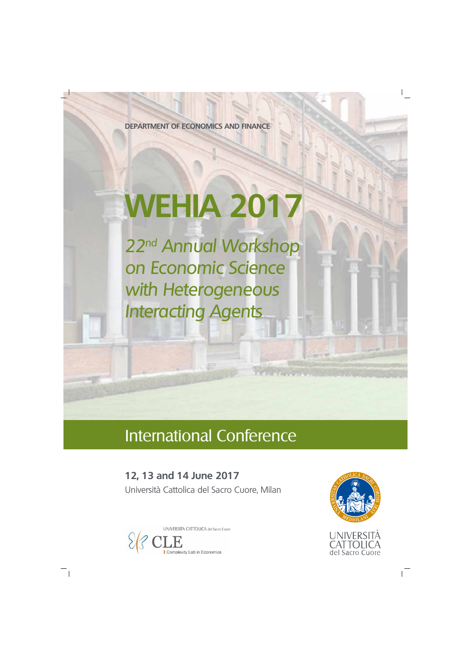# **WEHIA 2017**

22<sup>nd</sup> Annual Workshop on Economic Science with Heterogeneous Interacting Agents

**DEPARTMENT OF ECONOMICS AND FINANCE**

## International Conference

### **12, 13 and 14 June 2017**

Università Cattolica del Sacro Cuore, Milan





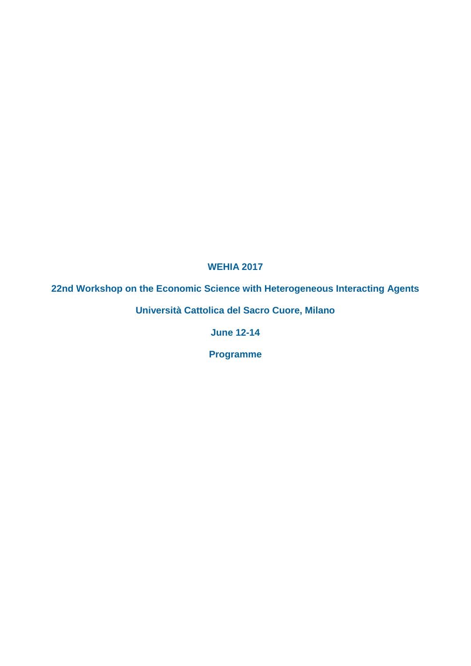#### **WEHIA 2017**

#### **22nd Workshop on the Economic Science with Heterogeneous Interacting Agents**

**Università Cattolica del Sacro Cuore, Milano**

**June 12-14**

**Programme**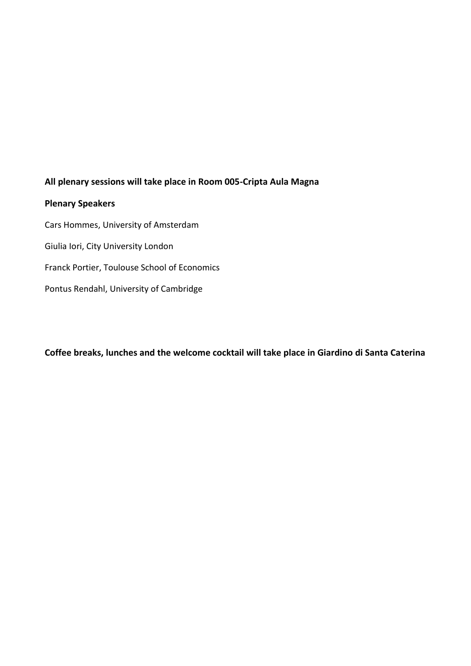#### **All plenary sessions will take place in Room 005-Cripta Aula Magna**

#### **Plenary Speakers**

Cars Hommes, University of Amsterdam Giulia Iori, City University London Franck Portier, Toulouse School of Economics Pontus Rendahl, University of Cambridge

**Coffee breaks, lunches and the welcome cocktail will take place in Giardino di Santa Caterina**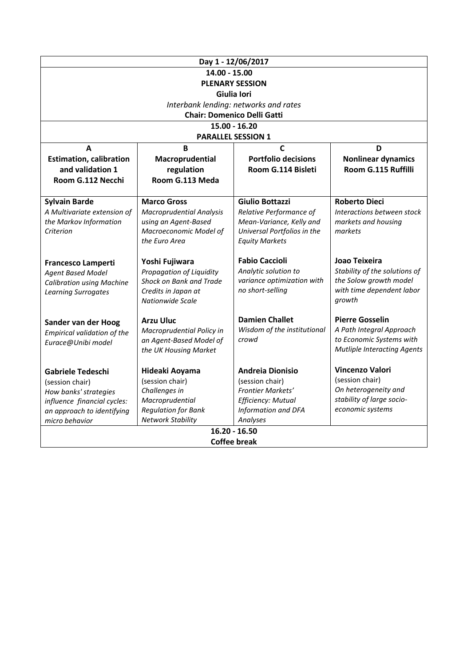|                                    |                                 | Day 1 - 12/06/2017                             |                                                     |
|------------------------------------|---------------------------------|------------------------------------------------|-----------------------------------------------------|
| 14.00 - 15.00                      |                                 |                                                |                                                     |
| <b>PLENARY SESSION</b>             |                                 |                                                |                                                     |
| Giulia Iori                        |                                 |                                                |                                                     |
|                                    |                                 | Interbank lending: networks and rates          |                                                     |
|                                    |                                 | <b>Chair: Domenico Delli Gatti</b>             |                                                     |
|                                    |                                 | $15.00 - 16.20$                                |                                                     |
|                                    |                                 | <b>PARALLEL SESSION 1</b>                      |                                                     |
| A                                  | $\overline{B}$                  | $\mathbf c$                                    | D                                                   |
| <b>Estimation, calibration</b>     | Macroprudential                 | <b>Portfolio decisions</b>                     | <b>Nonlinear dynamics</b>                           |
| and validation 1                   | regulation                      | Room G.114 Bisleti                             | Room G.115 Ruffilli                                 |
| Room G.112 Necchi                  | Room G.113 Meda                 |                                                |                                                     |
|                                    |                                 |                                                |                                                     |
| <b>Sylvain Barde</b>               | <b>Marco Gross</b>              | <b>Giulio Bottazzi</b>                         | <b>Roberto Dieci</b>                                |
| A Multivariate extension of        | <b>Macroprudential Analysis</b> | Relative Performance of                        | Interactions between stock                          |
| the Markov Information             | using an Agent-Based            | Mean-Variance, Kelly and                       | markets and housing                                 |
| Criterion                          | Macroeconomic Model of          | Universal Portfolios in the                    | markets                                             |
|                                    | the Euro Area                   | <b>Equity Markets</b>                          |                                                     |
|                                    |                                 |                                                |                                                     |
| Francesco Lamperti                 | Yoshi Fujiwara                  | <b>Fabio Caccioli</b>                          | Joao Teixeira                                       |
| <b>Agent Based Model</b>           | Propagation of Liquidity        | Analytic solution to                           | Stability of the solutions of                       |
| <b>Calibration using Machine</b>   | Shock on Bank and Trade         | variance optimization with<br>no short-selling | the Solow growth model<br>with time dependent labor |
| <b>Learning Surrogates</b>         | Credits in Japan at             |                                                | growth                                              |
|                                    | <b>Nationwide Scale</b>         |                                                |                                                     |
| Sander van der Hoog                | <b>Arzu Uluc</b>                | <b>Damien Challet</b>                          | <b>Pierre Gosselin</b>                              |
| <b>Empirical validation of the</b> | Macroprudential Policy in       | Wisdom of the institutional                    | A Path Integral Approach                            |
| Eurace@Unibi model                 | an Agent-Based Model of         | crowd                                          | to Economic Systems with                            |
|                                    | the UK Housing Market           |                                                | <b>Mutliple Interacting Agents</b>                  |
|                                    |                                 |                                                |                                                     |
| <b>Gabriele Tedeschi</b>           | Hideaki Aoyama                  | <b>Andreia Dionisio</b>                        | <b>Vincenzo Valori</b>                              |
| (session chair)                    | (session chair)                 | (session chair)                                | (session chair)                                     |
| How banks' strategies              | Challenges in                   | Frontier Markets'                              | On heterogeneity and                                |
| influence financial cycles:        | Macroprudential                 | <b>Efficiency: Mutual</b>                      | stability of large socio-                           |
| an approach to identifying         | <b>Regulation for Bank</b>      | Information and DFA                            | economic systems                                    |
| micro behavior                     | <b>Network Stability</b>        | Analyses                                       |                                                     |
| $16.20 - 16.50$                    |                                 |                                                |                                                     |
| Coffee break                       |                                 |                                                |                                                     |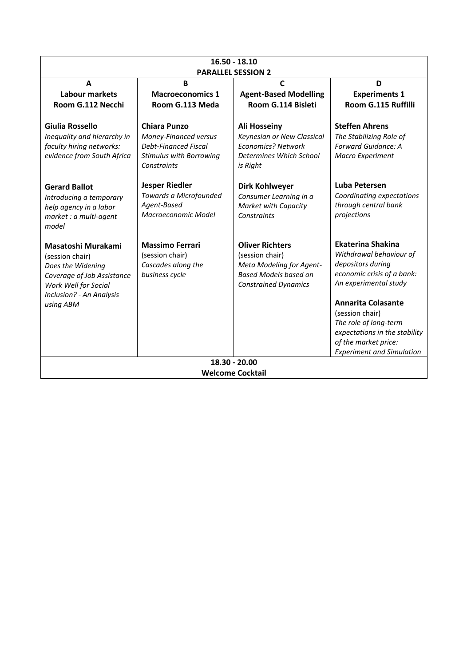| $16.50 - 18.10$<br><b>PARALLEL SESSION 2</b>                                                                                                              |                                                                                                                              |                                                                                                                                      |                                                                                                                                                                                                                                                                                                |
|-----------------------------------------------------------------------------------------------------------------------------------------------------------|------------------------------------------------------------------------------------------------------------------------------|--------------------------------------------------------------------------------------------------------------------------------------|------------------------------------------------------------------------------------------------------------------------------------------------------------------------------------------------------------------------------------------------------------------------------------------------|
| A<br>Labour markets<br>Room G.112 Necchi                                                                                                                  | B<br><b>Macroeconomics 1</b><br>Room G.113 Meda                                                                              | $\mathsf{C}$<br><b>Agent-Based Modelling</b><br>Room G.114 Bisleti                                                                   | D<br><b>Experiments 1</b><br>Room G.115 Ruffilli                                                                                                                                                                                                                                               |
| Giulia Rossello<br>Inequality and hierarchy in<br>faculty hiring networks:<br>evidence from South Africa                                                  | <b>Chiara Punzo</b><br>Money-Financed versus<br><b>Debt-Financed Fiscal</b><br><b>Stimulus with Borrowing</b><br>Constraints | <b>Ali Hosseiny</b><br>Keynesian or New Classical<br><b>Economics? Network</b><br>Determines Which School<br>is Right                | <b>Steffen Ahrens</b><br>The Stabilizing Role of<br>Forward Guidance: A<br>Macro Experiment                                                                                                                                                                                                    |
| <b>Gerard Ballot</b><br>Introducing a temporary<br>help agency in a labor<br>market : a multi-agent<br>model                                              | <b>Jesper Riedler</b><br>Towards a Microfounded<br>Agent-Based<br>Macroeconomic Model                                        | <b>Dirk Kohlweyer</b><br>Consumer Learning in a<br><b>Market with Capacity</b><br>Constraints                                        | Luba Petersen<br>Coordinating expectations<br>through central bank<br>projections                                                                                                                                                                                                              |
| Masatoshi Murakami<br>(session chair)<br>Does the Widening<br>Coverage of Job Assistance<br>Work Well for Social<br>Inclusion? - An Analysis<br>using ABM | <b>Massimo Ferrari</b><br>(session chair)<br>Cascades along the<br>business cycle                                            | <b>Oliver Richters</b><br>(session chair)<br>Meta Modeling for Agent-<br><b>Based Models based on</b><br><b>Constrained Dynamics</b> | Ekaterina Shakina<br>Withdrawal behaviour of<br>depositors during<br>economic crisis of a bank:<br>An experimental study<br><b>Annarita Colasante</b><br>(session chair)<br>The role of long-term<br>expectations in the stability<br>of the market price:<br><b>Experiment and Simulation</b> |
| 18.30 - 20.00<br><b>Welcome Cocktail</b>                                                                                                                  |                                                                                                                              |                                                                                                                                      |                                                                                                                                                                                                                                                                                                |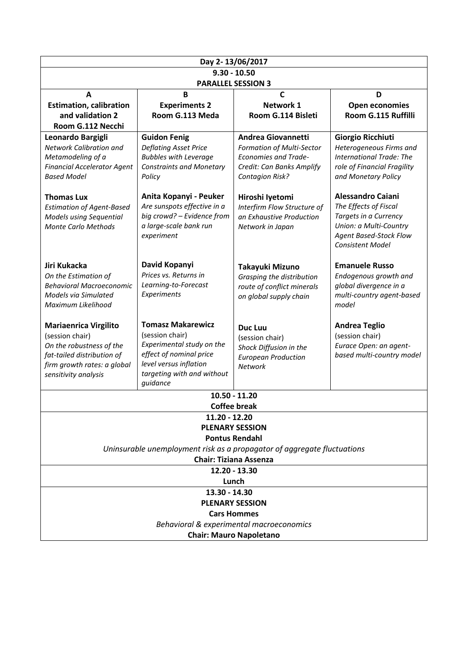| Day 2-13/06/2017                                                                                                                                                        |                                                                                                                        |                                                                                                                                                                                                                                                                                                                                                                   |  |
|-------------------------------------------------------------------------------------------------------------------------------------------------------------------------|------------------------------------------------------------------------------------------------------------------------|-------------------------------------------------------------------------------------------------------------------------------------------------------------------------------------------------------------------------------------------------------------------------------------------------------------------------------------------------------------------|--|
| $9.30 - 10.50$                                                                                                                                                          |                                                                                                                        |                                                                                                                                                                                                                                                                                                                                                                   |  |
| <b>PARALLEL SESSION 3</b>                                                                                                                                               |                                                                                                                        |                                                                                                                                                                                                                                                                                                                                                                   |  |
|                                                                                                                                                                         |                                                                                                                        | D                                                                                                                                                                                                                                                                                                                                                                 |  |
|                                                                                                                                                                         |                                                                                                                        | Open economies                                                                                                                                                                                                                                                                                                                                                    |  |
|                                                                                                                                                                         |                                                                                                                        | Room G.115 Ruffilli                                                                                                                                                                                                                                                                                                                                               |  |
|                                                                                                                                                                         |                                                                                                                        |                                                                                                                                                                                                                                                                                                                                                                   |  |
| <b>Deflating Asset Price</b><br><b>Bubbles with Leverage</b><br><b>Constraints and Monetary</b><br>Policy                                                               | <b>Formation of Multi-Sector</b><br><b>Economies and Trade-</b><br>Credit: Can Banks Amplify<br><b>Contagion Risk?</b> | <b>Giorgio Ricchiuti</b><br>Heterogeneous Firms and<br><b>International Trade: The</b><br>role of Financial Fragility<br>and Monetary Policy                                                                                                                                                                                                                      |  |
| Anita Kopanyi - Peuker<br>Are sunspots effective in a<br>big crowd? - Evidence from<br>a large-scale bank run<br>experiment                                             | Hiroshi lyetomi<br>Interfirm Flow Structure of<br>an Exhaustive Production<br>Network in Japan                         | <b>Alessandro Caiani</b><br>The Effects of Fiscal<br>Targets in a Currency<br>Union: a Multi-Country<br>Agent Based-Stock Flow<br><b>Consistent Model</b>                                                                                                                                                                                                         |  |
| David Kopanyi<br>Prices vs. Returns in<br>Learning-to-Forecast<br>Experiments                                                                                           | Takayuki Mizuno<br>Grasping the distribution<br>route of conflict minerals<br>on global supply chain                   | <b>Emanuele Russo</b><br>Endogenous growth and<br>global divergence in a<br>multi-country agent-based<br>model                                                                                                                                                                                                                                                    |  |
| <b>Tomasz Makarewicz</b><br>(session chair)<br>Experimental study on the<br>effect of nominal price<br>level versus inflation<br>targeting with and without<br>guidance | <b>Duc Luu</b><br>(session chair)<br>Shock Diffusion in the<br><b>European Production</b><br>Network                   | <b>Andrea Teglio</b><br>(session chair)<br>Eurace Open: an agent-<br>based multi-country model                                                                                                                                                                                                                                                                    |  |
|                                                                                                                                                                         |                                                                                                                        |                                                                                                                                                                                                                                                                                                                                                                   |  |
|                                                                                                                                                                         |                                                                                                                        |                                                                                                                                                                                                                                                                                                                                                                   |  |
|                                                                                                                                                                         |                                                                                                                        |                                                                                                                                                                                                                                                                                                                                                                   |  |
|                                                                                                                                                                         |                                                                                                                        |                                                                                                                                                                                                                                                                                                                                                                   |  |
| <b>Pontus Rendahl</b>                                                                                                                                                   |                                                                                                                        |                                                                                                                                                                                                                                                                                                                                                                   |  |
| Uninsurable unemployment risk as a propagator of aggregate fluctuations                                                                                                 |                                                                                                                        |                                                                                                                                                                                                                                                                                                                                                                   |  |
|                                                                                                                                                                         |                                                                                                                        |                                                                                                                                                                                                                                                                                                                                                                   |  |
|                                                                                                                                                                         |                                                                                                                        |                                                                                                                                                                                                                                                                                                                                                                   |  |
|                                                                                                                                                                         |                                                                                                                        |                                                                                                                                                                                                                                                                                                                                                                   |  |
|                                                                                                                                                                         |                                                                                                                        |                                                                                                                                                                                                                                                                                                                                                                   |  |
|                                                                                                                                                                         |                                                                                                                        |                                                                                                                                                                                                                                                                                                                                                                   |  |
|                                                                                                                                                                         |                                                                                                                        |                                                                                                                                                                                                                                                                                                                                                                   |  |
|                                                                                                                                                                         |                                                                                                                        |                                                                                                                                                                                                                                                                                                                                                                   |  |
|                                                                                                                                                                         | B<br><b>Experiments 2</b><br>Room G.113 Meda<br><b>Guidon Fenig</b>                                                    | $\mathbf c$<br>Network 1<br>Room G.114 Bisleti<br>Andrea Giovannetti<br>10.50 - 11.20<br><b>Coffee break</b><br>11.20 - 12.20<br><b>PLENARY SESSION</b><br><b>Chair: Tiziana Assenza</b><br>12.20 - 13.30<br>Lunch<br>13.30 - 14.30<br><b>PLENARY SESSION</b><br><b>Cars Hommes</b><br>Behavioral & experimental macroeconomics<br><b>Chair: Mauro Napoletano</b> |  |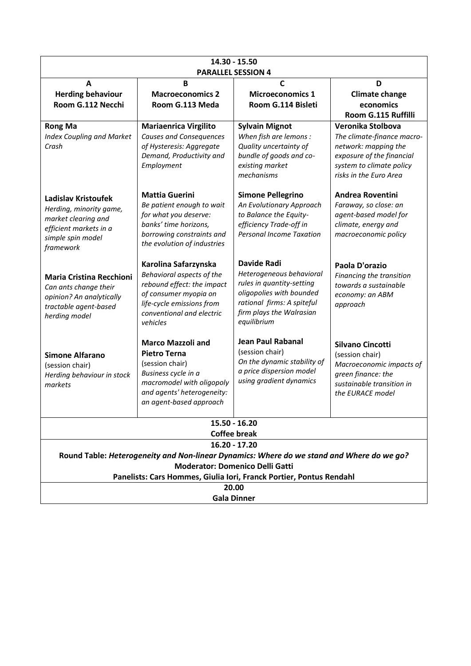| 14.30 - 15.50<br><b>PARALLEL SESSION 4</b>                                                                                                                                                                                    |                                                                                                                                                                                 |                                                                                                                                                                                  |                                                                                                                                                            |
|-------------------------------------------------------------------------------------------------------------------------------------------------------------------------------------------------------------------------------|---------------------------------------------------------------------------------------------------------------------------------------------------------------------------------|----------------------------------------------------------------------------------------------------------------------------------------------------------------------------------|------------------------------------------------------------------------------------------------------------------------------------------------------------|
| A<br><b>Herding behaviour</b><br>Room G.112 Necchi                                                                                                                                                                            | $\mathbf B$<br><b>Macroeconomics 2</b><br>Room G.113 Meda                                                                                                                       | $\mathbf c$<br><b>Microeconomics 1</b><br>Room G.114 Bisleti                                                                                                                     | D<br><b>Climate change</b><br>economics<br>Room G.115 Ruffilli                                                                                             |
| <b>Rong Ma</b><br><b>Index Coupling and Market</b><br>Crash                                                                                                                                                                   | <b>Mariaenrica Virgilito</b><br><b>Causes and Consequences</b><br>of Hysteresis: Aggregate<br>Demand, Productivity and<br>Employment                                            | <b>Sylvain Mignot</b><br>When fish are lemons :<br>Quality uncertainty of<br>bundle of goods and co-<br>existing market<br>mechanisms                                            | Veronika Stolbova<br>The climate-finance macro-<br>network: mapping the<br>exposure of the financial<br>system to climate policy<br>risks in the Euro Area |
| <b>Ladislav Kristoufek</b><br>Herding, minority game,<br>market clearing and<br>efficient markets in a<br>simple spin model<br>framework                                                                                      | <b>Mattia Guerini</b><br>Be patient enough to wait<br>for what you deserve:<br>banks' time horizons,<br>borrowing constraints and<br>the evolution of industries                | <b>Simone Pellegrino</b><br>An Evolutionary Approach<br>to Balance the Equity-<br>efficiency Trade-off in<br><b>Personal Income Taxation</b>                                     | <b>Andrea Roventini</b><br>Faraway, so close: an<br>agent-based model for<br>climate, energy and<br>macroeconomic policy                                   |
| <b>Maria Cristina Recchioni</b><br>Can ants change their<br>opinion? An analytically<br>tractable agent-based<br>herding model                                                                                                | Karolina Safarzynska<br>Behavioral aspects of the<br>rebound effect: the impact<br>of consumer myopia on<br>life-cycle emissions from<br>conventional and electric<br>vehicles  | <b>Davide Radi</b><br>Heterogeneous behavioral<br>rules in quantity-setting<br>oligopolies with bounded<br>rational firms: A spiteful<br>firm plays the Walrasian<br>equilibrium | Paola D'orazio<br>Financing the transition<br>towards a sustainable<br>economy: an ABM<br>approach                                                         |
| <b>Simone Alfarano</b><br>(session chair)<br>Herding behaviour in stock<br>markets                                                                                                                                            | <b>Marco Mazzoli and</b><br><b>Pietro Terna</b><br>(session chair)<br>Business cycle in a<br>macromodel with oligopoly<br>and agents' heterogeneity:<br>an agent-based approach | <b>Jean Paul Rabanal</b><br>(session chair)<br>On the dynamic stability of<br>a price dispersion model<br>using gradient dynamics                                                | <b>Silvano Cincotti</b><br>(session chair)<br>Macroeconomic impacts of<br>green finance: the<br>sustainable transition in<br>the EURACE model              |
| $15.50 - 16.20$<br><b>Coffee break</b>                                                                                                                                                                                        |                                                                                                                                                                                 |                                                                                                                                                                                  |                                                                                                                                                            |
| $16.20 - 17.20$<br>Round Table: Heterogeneity and Non-linear Dynamics: Where do we stand and Where do we go?<br><b>Moderator: Domenico Delli Gatti</b><br>Panelists: Cars Hommes, Giulia Iori, Franck Portier, Pontus Rendahl |                                                                                                                                                                                 |                                                                                                                                                                                  |                                                                                                                                                            |
| 20.00<br><b>Gala Dinner</b>                                                                                                                                                                                                   |                                                                                                                                                                                 |                                                                                                                                                                                  |                                                                                                                                                            |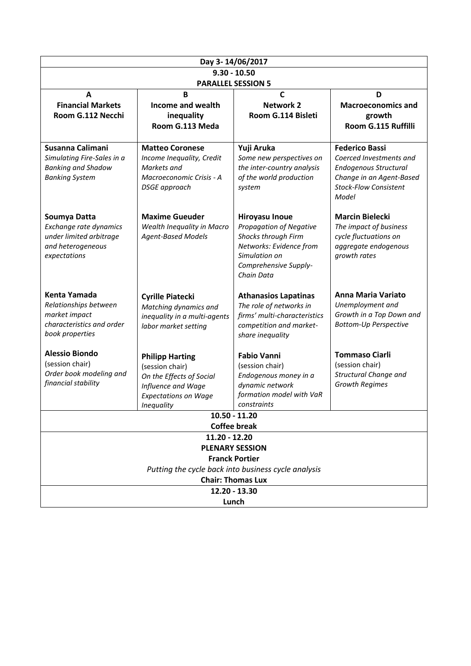| Day 3-14/06/2017                                                                                              |                                                                                                                                          |                                                                                                                                                                   |                                                                                                                                                       |
|---------------------------------------------------------------------------------------------------------------|------------------------------------------------------------------------------------------------------------------------------------------|-------------------------------------------------------------------------------------------------------------------------------------------------------------------|-------------------------------------------------------------------------------------------------------------------------------------------------------|
| $9.30 - 10.50$                                                                                                |                                                                                                                                          |                                                                                                                                                                   |                                                                                                                                                       |
|                                                                                                               |                                                                                                                                          | <b>PARALLEL SESSION 5</b>                                                                                                                                         |                                                                                                                                                       |
| A<br><b>Financial Markets</b><br>Room G.112 Necchi                                                            | B<br><b>Income and wealth</b><br>inequality<br>Room G.113 Meda                                                                           | $\mathsf{C}$<br><b>Network 2</b><br>Room G.114 Bisleti                                                                                                            | D<br><b>Macroeconomics and</b><br>growth<br>Room G.115 Ruffilli                                                                                       |
| Susanna Calimani<br>Simulating Fire-Sales in a<br><b>Banking and Shadow</b><br><b>Banking System</b>          | <b>Matteo Coronese</b><br>Income Inequality, Credit<br>Markets and<br>Macroeconomic Crisis - A<br><b>DSGE</b> approach                   | Yuji Aruka<br>Some new perspectives on<br>the inter-country analysis<br>of the world production<br>system                                                         | <b>Federico Bassi</b><br>Coerced Investments and<br><b>Endogenous Structural</b><br>Change in an Agent-Based<br><b>Stock-Flow Consistent</b><br>Model |
| Soumya Datta<br>Exchange rate dynamics<br>under limited arbitrage<br>and heterogeneous<br>expectations        | <b>Maxime Gueuder</b><br>Wealth Inequality in Macro<br><b>Agent-Based Models</b>                                                         | <b>Hiroyasu Inoue</b><br><b>Propagation of Negative</b><br>Shocks through Firm<br>Networks: Evidence from<br>Simulation on<br>Comprehensive Supply-<br>Chain Data | <b>Marcin Bielecki</b><br>The impact of business<br>cycle fluctuations on<br>aggregate endogenous<br>growth rates                                     |
| <b>Kenta Yamada</b><br>Relationships between<br>market impact<br>characteristics and order<br>book properties | <b>Cyrille Piatecki</b><br>Matching dynamics and<br>inequality in a multi-agents<br>labor market setting                                 | <b>Athanasios Lapatinas</b><br>The role of networks in<br>firms' multi-characteristics<br>competition and market-<br>share inequality                             | <b>Anna Maria Variato</b><br>Unemployment and<br>Growth in a Top Down and<br><b>Bottom-Up Perspective</b>                                             |
| <b>Alessio Biondo</b><br>(session chair)<br>Order book modeling and<br>financial stability                    | <b>Philipp Harting</b><br>(session chair)<br>On the Effects of Social<br>Influence and Wage<br><b>Expectations on Wage</b><br>Inequality | <b>Fabio Vanni</b><br>(session chair)<br>Endogenous money in a<br>dynamic network<br>formation model with VaR<br>constraints                                      | <b>Tommaso Ciarli</b><br>(session chair)<br>Structural Change and<br><b>Growth Regimes</b>                                                            |
| $10.50 - 11.20$                                                                                               |                                                                                                                                          |                                                                                                                                                                   |                                                                                                                                                       |
| <b>Coffee break</b><br>11.20 - 12.20                                                                          |                                                                                                                                          |                                                                                                                                                                   |                                                                                                                                                       |
| <b>PLENARY SESSION</b>                                                                                        |                                                                                                                                          |                                                                                                                                                                   |                                                                                                                                                       |
| <b>Franck Portier</b>                                                                                         |                                                                                                                                          |                                                                                                                                                                   |                                                                                                                                                       |
| Putting the cycle back into business cycle analysis                                                           |                                                                                                                                          |                                                                                                                                                                   |                                                                                                                                                       |
| <b>Chair: Thomas Lux</b><br>12.20 - 13.30                                                                     |                                                                                                                                          |                                                                                                                                                                   |                                                                                                                                                       |
| Lunch                                                                                                         |                                                                                                                                          |                                                                                                                                                                   |                                                                                                                                                       |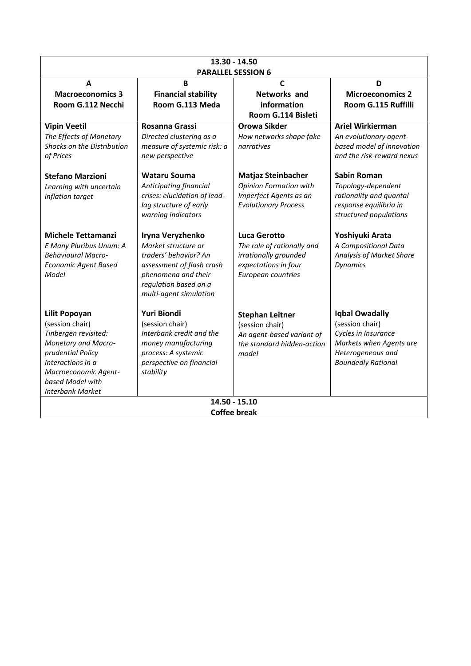| 13.30 - 14.50<br><b>PARALLEL SESSION 6</b>                                                                                                                                                              |                                                                                                                                                                         |                                                                                                                          |                                                                                                                                              |
|---------------------------------------------------------------------------------------------------------------------------------------------------------------------------------------------------------|-------------------------------------------------------------------------------------------------------------------------------------------------------------------------|--------------------------------------------------------------------------------------------------------------------------|----------------------------------------------------------------------------------------------------------------------------------------------|
| A<br><b>Macroeconomics 3</b><br>Room G.112 Necchi                                                                                                                                                       | B<br><b>Financial stability</b><br>Room G.113 Meda                                                                                                                      | $\mathsf{C}$<br><b>Networks and</b><br>information<br>Room G.114 Bisleti                                                 | D<br><b>Microeconomics 2</b><br>Room G.115 Ruffilli                                                                                          |
| <b>Vipin Veetil</b><br>The Effects of Monetary<br>Shocks on the Distribution<br>of Prices                                                                                                               | Rosanna Grassi<br>Directed clustering as a<br>measure of systemic risk: a<br>new perspective                                                                            | <b>Orowa Sikder</b><br>How networks shape fake<br>narratives                                                             | <b>Ariel Wirkierman</b><br>An evolutionary agent-<br>based model of innovation<br>and the risk-reward nexus                                  |
| <b>Stefano Marzioni</b><br>Learning with uncertain<br>inflation target                                                                                                                                  | <b>Wataru Souma</b><br>Anticipating financial<br>crises: elucidation of lead-<br>lag structure of early<br>warning indicators                                           | <b>Matjaz Steinbacher</b><br><b>Opinion Formation with</b><br>Imperfect Agents as an<br><b>Evolutionary Process</b>      | <b>Sabin Roman</b><br>Topology-dependent<br>rationality and quantal<br>response equilibria in<br>structured populations                      |
| <b>Michele Tettamanzi</b><br>E Many Pluribus Unum: A<br><b>Behavioural Macro-</b><br><b>Economic Agent Based</b><br>Model                                                                               | Iryna Veryzhenko<br>Market structure or<br>traders' behavior? An<br>assessment of flash crash<br>phenomena and their<br>regulation based on a<br>multi-agent simulation | <b>Luca Gerotto</b><br>The role of rationally and<br>irrationally grounded<br>expectations in four<br>European countries | Yoshiyuki Arata<br>A Compositional Data<br>Analysis of Market Share<br><b>Dynamics</b>                                                       |
| <b>Lilit Popoyan</b><br>(session chair)<br>Tinbergen revisited:<br>Monetary and Macro-<br>prudential Policy<br>Interactions in a<br>Macroeconomic Agent-<br>based Model with<br><b>Interbank Market</b> | Yuri Biondi<br>(session chair)<br>Interbank credit and the<br>money manufacturing<br>process: A systemic<br>perspective on financial<br>stability                       | <b>Stephan Leitner</b><br>(session chair)<br>An agent-based variant of<br>the standard hidden-action<br>model            | <b>Iqbal Owadally</b><br>(session chair)<br>Cycles in Insurance<br>Markets when Agents are<br>Heterogeneous and<br><b>Boundedly Rational</b> |
| 14.50 - 15.10<br><b>Coffee break</b>                                                                                                                                                                    |                                                                                                                                                                         |                                                                                                                          |                                                                                                                                              |